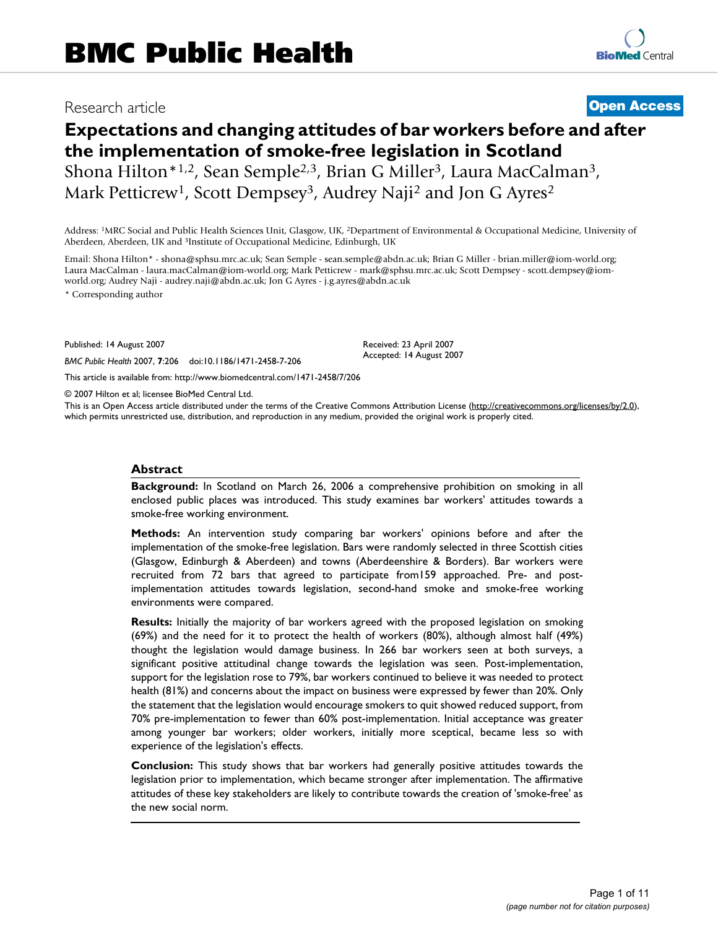# Research article **[Open Access](http://www.biomedcentral.com/info/about/charter/)**

# **Expectations and changing attitudes of bar workers before and after the implementation of smoke-free legislation in Scotland** Shona Hilton\*1,2, Sean Semple2,3, Brian G Miller3, Laura MacCalman3, Mark Petticrew<sup>1</sup>, Scott Dempsey<sup>3</sup>, Audrey Naji<sup>2</sup> and Jon G Ayres<sup>2</sup>

Address: 1MRC Social and Public Health Sciences Unit, Glasgow, UK, 2Department of Environmental & Occupational Medicine, University of Aberdeen, Aberdeen, UK and 3Institute of Occupational Medicine, Edinburgh, UK

Email: Shona Hilton\* - shona@sphsu.mrc.ac.uk; Sean Semple - sean.semple@abdn.ac.uk; Brian G Miller - brian.miller@iom-world.org; Laura MacCalman - laura.macCalman@iom-world.org; Mark Petticrew - mark@sphsu.mrc.ac.uk; Scott Dempsey - scott.dempsey@iomworld.org; Audrey Naji - audrey.naji@abdn.ac.uk; Jon G Ayres - j.g.ayres@abdn.ac.uk

\* Corresponding author

Published: 14 August 2007

*BMC Public Health* 2007, **7**:206 doi:10.1186/1471-2458-7-206

[This article is available from: http://www.biomedcentral.com/1471-2458/7/206](http://www.biomedcentral.com/1471-2458/7/206)

© 2007 Hilton et al; licensee BioMed Central Ltd.

This is an Open Access article distributed under the terms of the Creative Commons Attribution License [\(http://creativecommons.org/licenses/by/2.0\)](http://creativecommons.org/licenses/by/2.0), which permits unrestricted use, distribution, and reproduction in any medium, provided the original work is properly cited.

Received: 23 April 2007 Accepted: 14 August 2007

#### **Abstract**

**Background:** In Scotland on March 26, 2006 a comprehensive prohibition on smoking in all enclosed public places was introduced. This study examines bar workers' attitudes towards a smoke-free working environment.

**Methods:** An intervention study comparing bar workers' opinions before and after the implementation of the smoke-free legislation. Bars were randomly selected in three Scottish cities (Glasgow, Edinburgh & Aberdeen) and towns (Aberdeenshire & Borders). Bar workers were recruited from 72 bars that agreed to participate from159 approached. Pre- and postimplementation attitudes towards legislation, second-hand smoke and smoke-free working environments were compared.

**Results:** Initially the majority of bar workers agreed with the proposed legislation on smoking (69%) and the need for it to protect the health of workers (80%), although almost half (49%) thought the legislation would damage business. In 266 bar workers seen at both surveys, a significant positive attitudinal change towards the legislation was seen. Post-implementation, support for the legislation rose to 79%, bar workers continued to believe it was needed to protect health (81%) and concerns about the impact on business were expressed by fewer than 20%. Only the statement that the legislation would encourage smokers to quit showed reduced support, from 70% pre-implementation to fewer than 60% post-implementation. Initial acceptance was greater among younger bar workers; older workers, initially more sceptical, became less so with experience of the legislation's effects.

**Conclusion:** This study shows that bar workers had generally positive attitudes towards the legislation prior to implementation, which became stronger after implementation. The affirmative attitudes of these key stakeholders are likely to contribute towards the creation of 'smoke-free' as the new social norm.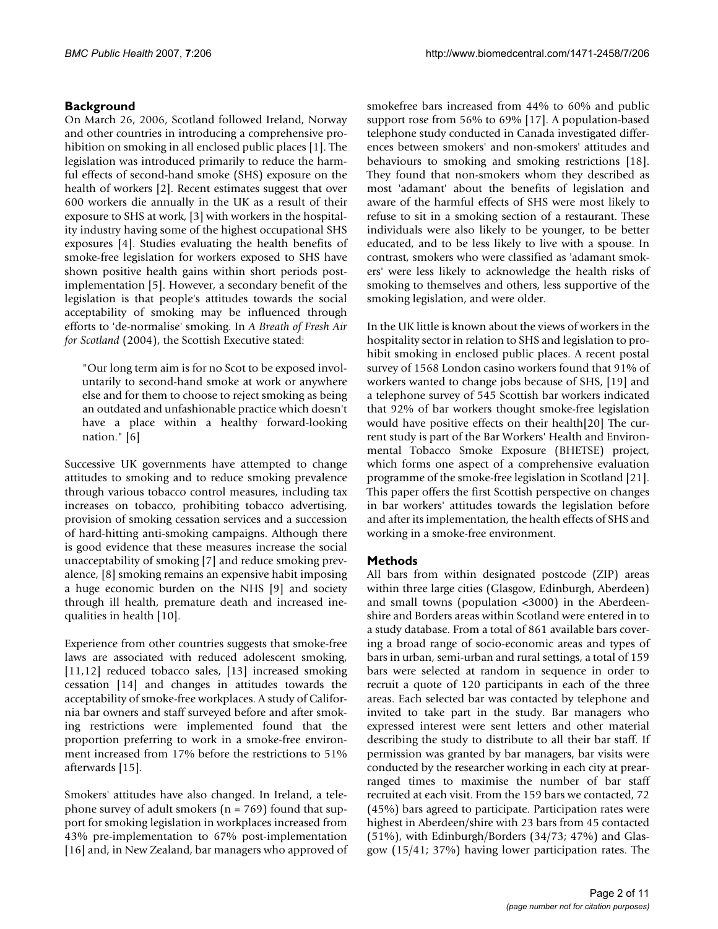# **Background**

On March 26, 2006, Scotland followed Ireland, Norway and other countries in introducing a comprehensive prohibition on smoking in all enclosed public places [1]. The legislation was introduced primarily to reduce the harmful effects of second-hand smoke (SHS) exposure on the health of workers [2]. Recent estimates suggest that over 600 workers die annually in the UK as a result of their exposure to SHS at work, [3] with workers in the hospitality industry having some of the highest occupational SHS exposures [4]. Studies evaluating the health benefits of smoke-free legislation for workers exposed to SHS have shown positive health gains within short periods postimplementation [5]. However, a secondary benefit of the legislation is that people's attitudes towards the social acceptability of smoking may be influenced through efforts to 'de-normalise' smoking. In *A Breath of Fresh Air for Scotland* (2004), the Scottish Executive stated:

"Our long term aim is for no Scot to be exposed involuntarily to second-hand smoke at work or anywhere else and for them to choose to reject smoking as being an outdated and unfashionable practice which doesn't have a place within a healthy forward-looking nation." [6]

Successive UK governments have attempted to change attitudes to smoking and to reduce smoking prevalence through various tobacco control measures, including tax increases on tobacco, prohibiting tobacco advertising, provision of smoking cessation services and a succession of hard-hitting anti-smoking campaigns. Although there is good evidence that these measures increase the social unacceptability of smoking [7] and reduce smoking prevalence, [8] smoking remains an expensive habit imposing a huge economic burden on the NHS [9] and society through ill health, premature death and increased inequalities in health [10].

Experience from other countries suggests that smoke-free laws are associated with reduced adolescent smoking, [11,12] reduced tobacco sales, [13] increased smoking cessation [14] and changes in attitudes towards the acceptability of smoke-free workplaces. A study of California bar owners and staff surveyed before and after smoking restrictions were implemented found that the proportion preferring to work in a smoke-free environment increased from 17% before the restrictions to 51% afterwards [15].

Smokers' attitudes have also changed. In Ireland, a telephone survey of adult smokers ( $n = 769$ ) found that support for smoking legislation in workplaces increased from 43% pre-implementation to 67% post-implementation [16] and, in New Zealand, bar managers who approved of smokefree bars increased from 44% to 60% and public support rose from 56% to 69% [17]. A population-based telephone study conducted in Canada investigated differences between smokers' and non-smokers' attitudes and behaviours to smoking and smoking restrictions [18]. They found that non-smokers whom they described as most 'adamant' about the benefits of legislation and aware of the harmful effects of SHS were most likely to refuse to sit in a smoking section of a restaurant. These individuals were also likely to be younger, to be better educated, and to be less likely to live with a spouse. In contrast, smokers who were classified as 'adamant smokers' were less likely to acknowledge the health risks of smoking to themselves and others, less supportive of the smoking legislation, and were older.

In the UK little is known about the views of workers in the hospitality sector in relation to SHS and legislation to prohibit smoking in enclosed public places. A recent postal survey of 1568 London casino workers found that 91% of workers wanted to change jobs because of SHS, [19] and a telephone survey of 545 Scottish bar workers indicated that 92% of bar workers thought smoke-free legislation would have positive effects on their health[20] The current study is part of the Bar Workers' Health and Environmental Tobacco Smoke Exposure (BHETSE) project, which forms one aspect of a comprehensive evaluation programme of the smoke-free legislation in Scotland [21]. This paper offers the first Scottish perspective on changes in bar workers' attitudes towards the legislation before and after its implementation, the health effects of SHS and working in a smoke-free environment.

#### **Methods**

All bars from within designated postcode (ZIP) areas within three large cities (Glasgow, Edinburgh, Aberdeen) and small towns (population <3000) in the Aberdeenshire and Borders areas within Scotland were entered in to a study database. From a total of 861 available bars covering a broad range of socio-economic areas and types of bars in urban, semi-urban and rural settings, a total of 159 bars were selected at random in sequence in order to recruit a quote of 120 participants in each of the three areas. Each selected bar was contacted by telephone and invited to take part in the study. Bar managers who expressed interest were sent letters and other material describing the study to distribute to all their bar staff. If permission was granted by bar managers, bar visits were conducted by the researcher working in each city at prearranged times to maximise the number of bar staff recruited at each visit. From the 159 bars we contacted, 72 (45%) bars agreed to participate. Participation rates were highest in Aberdeen/shire with 23 bars from 45 contacted (51%), with Edinburgh/Borders (34/73; 47%) and Glasgow (15/41; 37%) having lower participation rates. The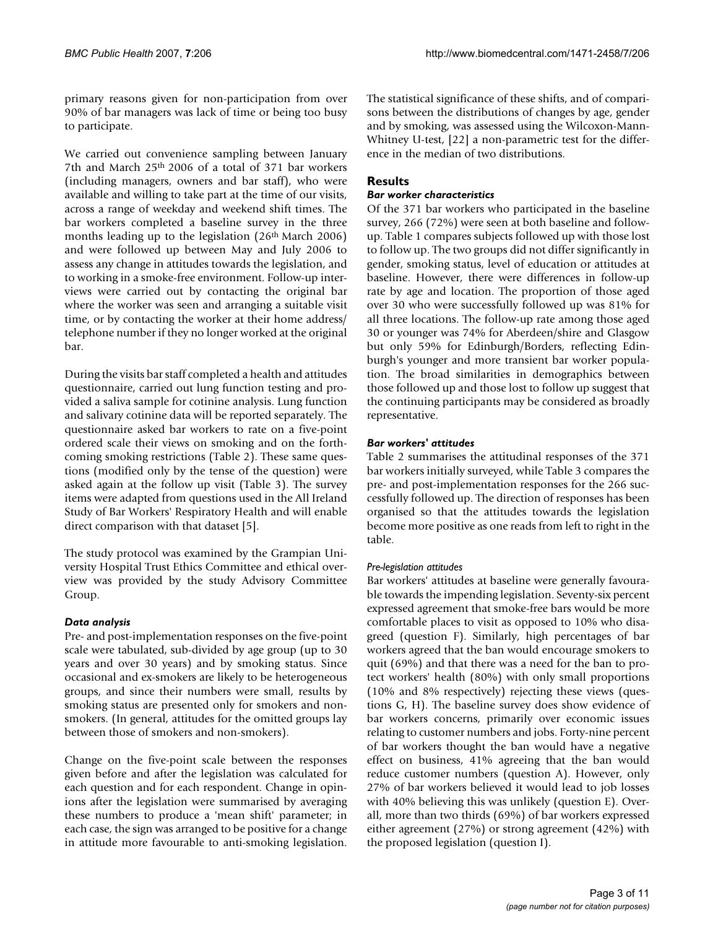primary reasons given for non-participation from over 90% of bar managers was lack of time or being too busy to participate.

We carried out convenience sampling between January 7th and March 25<sup>th</sup> 2006 of a total of 371 bar workers (including managers, owners and bar staff), who were available and willing to take part at the time of our visits, across a range of weekday and weekend shift times. The bar workers completed a baseline survey in the three months leading up to the legislation (26th March 2006) and were followed up between May and July 2006 to assess any change in attitudes towards the legislation, and to working in a smoke-free environment. Follow-up interviews were carried out by contacting the original bar where the worker was seen and arranging a suitable visit time, or by contacting the worker at their home address/ telephone number if they no longer worked at the original bar.

During the visits bar staff completed a health and attitudes questionnaire, carried out lung function testing and provided a saliva sample for cotinine analysis. Lung function and salivary cotinine data will be reported separately. The questionnaire asked bar workers to rate on a five-point ordered scale their views on smoking and on the forthcoming smoking restrictions (Table 2). These same questions (modified only by the tense of the question) were asked again at the follow up visit (Table 3). The survey items were adapted from questions used in the All Ireland Study of Bar Workers' Respiratory Health and will enable direct comparison with that dataset [5].

The study protocol was examined by the Grampian University Hospital Trust Ethics Committee and ethical overview was provided by the study Advisory Committee Group.

#### *Data analysis*

Pre- and post-implementation responses on the five-point scale were tabulated, sub-divided by age group (up to 30 years and over 30 years) and by smoking status. Since occasional and ex-smokers are likely to be heterogeneous groups, and since their numbers were small, results by smoking status are presented only for smokers and nonsmokers. (In general, attitudes for the omitted groups lay between those of smokers and non-smokers).

Change on the five-point scale between the responses given before and after the legislation was calculated for each question and for each respondent. Change in opinions after the legislation were summarised by averaging these numbers to produce a 'mean shift' parameter; in each case, the sign was arranged to be positive for a change in attitude more favourable to anti-smoking legislation. The statistical significance of these shifts, and of comparisons between the distributions of changes by age, gender and by smoking, was assessed using the Wilcoxon-Mann-Whitney U-test, [22] a non-parametric test for the difference in the median of two distributions.

# **Results**

# *Bar worker characteristics*

Of the 371 bar workers who participated in the baseline survey, 266 (72%) were seen at both baseline and followup. Table 1 compares subjects followed up with those lost to follow up. The two groups did not differ significantly in gender, smoking status, level of education or attitudes at baseline. However, there were differences in follow-up rate by age and location. The proportion of those aged over 30 who were successfully followed up was 81% for all three locations. The follow-up rate among those aged 30 or younger was 74% for Aberdeen/shire and Glasgow but only 59% for Edinburgh/Borders, reflecting Edinburgh's younger and more transient bar worker population. The broad similarities in demographics between those followed up and those lost to follow up suggest that the continuing participants may be considered as broadly representative.

# *Bar workers' attitudes*

Table 2 summarises the attitudinal responses of the 371 bar workers initially surveyed, while Table 3 compares the pre- and post-implementation responses for the 266 successfully followed up. The direction of responses has been organised so that the attitudes towards the legislation become more positive as one reads from left to right in the table.

#### *Pre-legislation attitudes*

Bar workers' attitudes at baseline were generally favourable towards the impending legislation. Seventy-six percent expressed agreement that smoke-free bars would be more comfortable places to visit as opposed to 10% who disagreed (question F). Similarly, high percentages of bar workers agreed that the ban would encourage smokers to quit (69%) and that there was a need for the ban to protect workers' health (80%) with only small proportions (10% and 8% respectively) rejecting these views (questions G, H). The baseline survey does show evidence of bar workers concerns, primarily over economic issues relating to customer numbers and jobs. Forty-nine percent of bar workers thought the ban would have a negative effect on business, 41% agreeing that the ban would reduce customer numbers (question A). However, only 27% of bar workers believed it would lead to job losses with 40% believing this was unlikely (question E). Overall, more than two thirds (69%) of bar workers expressed either agreement (27%) or strong agreement (42%) with the proposed legislation (question I).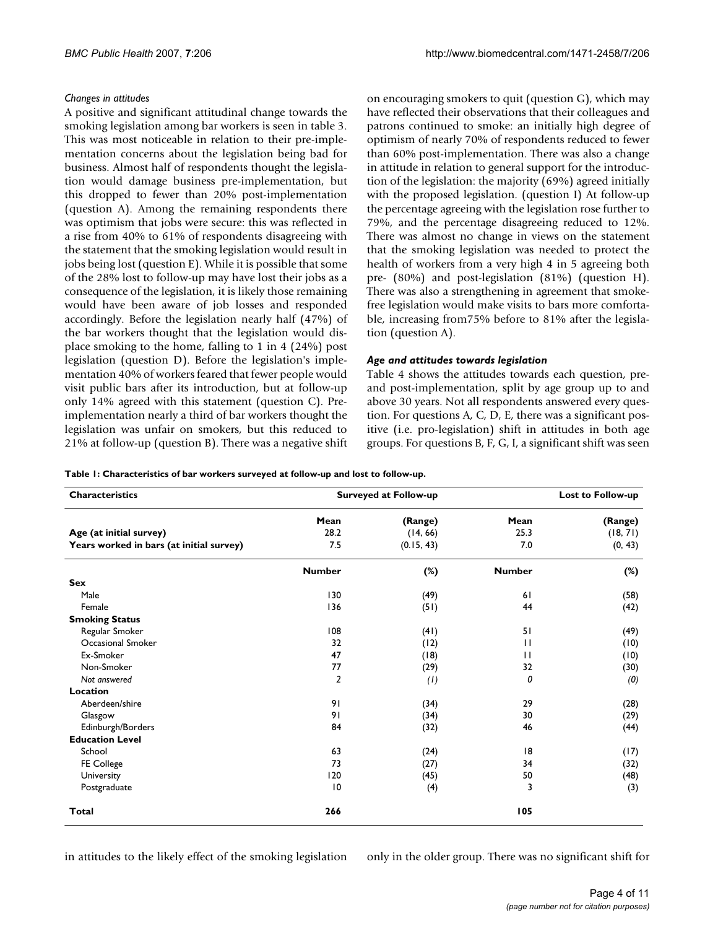### *Changes in attitudes*

A positive and significant attitudinal change towards the smoking legislation among bar workers is seen in table 3. This was most noticeable in relation to their pre-implementation concerns about the legislation being bad for business. Almost half of respondents thought the legislation would damage business pre-implementation, but this dropped to fewer than 20% post-implementation (question A). Among the remaining respondents there was optimism that jobs were secure: this was reflected in a rise from 40% to 61% of respondents disagreeing with the statement that the smoking legislation would result in jobs being lost (question E). While it is possible that some of the 28% lost to follow-up may have lost their jobs as a consequence of the legislation, it is likely those remaining would have been aware of job losses and responded accordingly. Before the legislation nearly half (47%) of the bar workers thought that the legislation would displace smoking to the home, falling to 1 in 4 (24%) post legislation (question D). Before the legislation's implementation 40% of workers feared that fewer people would visit public bars after its introduction, but at follow-up only 14% agreed with this statement (question C). Preimplementation nearly a third of bar workers thought the legislation was unfair on smokers, but this reduced to 21% at follow-up (question B). There was a negative shift on encouraging smokers to quit (question G), which may have reflected their observations that their colleagues and patrons continued to smoke: an initially high degree of optimism of nearly 70% of respondents reduced to fewer than 60% post-implementation. There was also a change in attitude in relation to general support for the introduction of the legislation: the majority (69%) agreed initially with the proposed legislation. (question I) At follow-up the percentage agreeing with the legislation rose further to 79%, and the percentage disagreeing reduced to 12%. There was almost no change in views on the statement that the smoking legislation was needed to protect the health of workers from a very high 4 in 5 agreeing both pre- (80%) and post-legislation (81%) (question H). There was also a strengthening in agreement that smokefree legislation would make visits to bars more comfortable, increasing from75% before to 81% after the legislation (question A).

#### *Age and attitudes towards legislation*

Table 4 shows the attitudes towards each question, preand post-implementation, split by age group up to and above 30 years. Not all respondents answered every question. For questions A, C, D, E, there was a significant positive (i.e. pro-legislation) shift in attitudes in both age groups. For questions B, F, G, I, a significant shift was seen

**Table 1: Characteristics of bar workers surveyed at follow-up and lost to follow-up.**

| <b>Characteristics</b>                   |                | <b>Surveyed at Follow-up</b> |               | Lost to Follow-up |  |  |  |  |
|------------------------------------------|----------------|------------------------------|---------------|-------------------|--|--|--|--|
|                                          | Mean           | (Range)                      | Mean          | (Range)           |  |  |  |  |
| Age (at initial survey)                  | 28.2           | (14, 66)                     | 25.3          | (18, 71)          |  |  |  |  |
| Years worked in bars (at initial survey) | 7.5            | (0.15, 43)                   | 7.0           | (0, 43)           |  |  |  |  |
|                                          | <b>Number</b>  | $(\%)$                       | <b>Number</b> | $(\%)$            |  |  |  |  |
| <b>Sex</b>                               |                |                              |               |                   |  |  |  |  |
| Male                                     | 130            | (49)                         | 61            | (58)              |  |  |  |  |
| Female                                   | 136            | (51)                         | 44            | (42)              |  |  |  |  |
| <b>Smoking Status</b>                    |                |                              |               |                   |  |  |  |  |
| Regular Smoker                           | 108            | (41)                         | 51            | (49)              |  |  |  |  |
| Occasional Smoker                        | 32             | (12)                         | $\mathbf{H}$  | (10)              |  |  |  |  |
| Ex-Smoker                                | 47             | (18)                         | $\mathbf{H}$  | (10)              |  |  |  |  |
| Non-Smoker                               | 77             | (29)                         | 32            | (30)              |  |  |  |  |
| Not answered                             | $\overline{2}$ | (1)                          | 0             | (0)               |  |  |  |  |
| Location                                 |                |                              |               |                   |  |  |  |  |
| Aberdeen/shire                           | 91             | (34)                         | 29            | (28)              |  |  |  |  |
| Glasgow                                  | 91             | (34)                         | 30            | (29)              |  |  |  |  |
| Edinburgh/Borders                        | 84             | (32)                         | 46            | (44)              |  |  |  |  |
| <b>Education Level</b>                   |                |                              |               |                   |  |  |  |  |
| School                                   | 63             | (24)                         | 18            | (17)              |  |  |  |  |
| FE College                               | 73             | (27)                         | 34            | (32)              |  |  |  |  |
| University                               | 120            | (45)                         | 50            | (48)              |  |  |  |  |
| Postgraduate                             | 10             | (4)                          | 3             | (3)               |  |  |  |  |
| Total                                    | 266            |                              | 105           |                   |  |  |  |  |

in attitudes to the likely effect of the smoking legislation

only in the older group. There was no significant shift for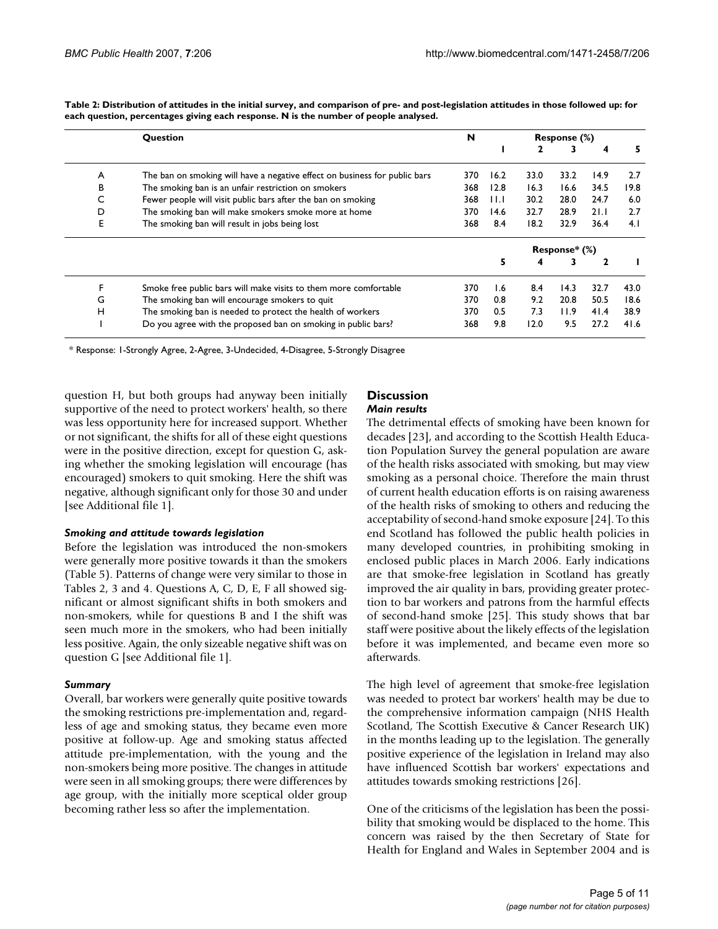|   | Question                                                                   | N   | Response (%) |      |               |      |      |  |  |
|---|----------------------------------------------------------------------------|-----|--------------|------|---------------|------|------|--|--|
|   |                                                                            |     |              | 2    | 3             | 4    |      |  |  |
| A | The ban on smoking will have a negative effect on business for public bars | 370 | 16.2         | 33.0 | 33.2          | 14.9 | 2.7  |  |  |
| в | The smoking ban is an unfair restriction on smokers                        | 368 | 12.8         | 16.3 | 16.6          | 34.5 | 19.8 |  |  |
| C | Fewer people will visit public bars after the ban on smoking               | 368 | ШJ           | 30.2 | 28.0          | 24.7 | 6.0  |  |  |
| D | The smoking ban will make smokers smoke more at home                       | 370 | 14.6         | 32.7 | 28.9          | 21.1 | 2.7  |  |  |
| Е | The smoking ban will result in jobs being lost                             | 368 | 8.4          | 18.2 | 32.9          | 36.4 | 4.1  |  |  |
|   |                                                                            |     |              |      | Response* (%) |      |      |  |  |
|   |                                                                            |     | 5            | 4    | 3             | 2    |      |  |  |
| F | Smoke free public bars will make visits to them more comfortable           | 370 | 1.6          | 8.4  | 14.3          | 32.7 | 43.0 |  |  |
| G | The smoking ban will encourage smokers to quit                             | 370 | 0.8          | 9.2  | 20.8          | 50.5 | 18.6 |  |  |
| н | The smoking ban is needed to protect the health of workers                 | 370 | 0.5          | 7.3  | 11.9          | 41.4 | 38.9 |  |  |
|   | Do you agree with the proposed ban on smoking in public bars?              | 368 | 9.8          | 12.0 | 9.5           | 27.2 | 41.6 |  |  |

**Table 2: Distribution of attitudes in the initial survey, and comparison of pre- and post-legislation attitudes in those followed up: for each question, percentages giving each response. N is the number of people analysed.**

\* Response: 1-Strongly Agree, 2-Agree, 3-Undecided, 4-Disagree, 5-Strongly Disagree

question H, but both groups had anyway been initially supportive of the need to protect workers' health, so there was less opportunity here for increased support. Whether or not significant, the shifts for all of these eight questions were in the positive direction, except for question G, asking whether the smoking legislation will encourage (has encouraged) smokers to quit smoking. Here the shift was negative, although significant only for those 30 and under [see Additional file 1].

#### *Smoking and attitude towards legislation*

Before the legislation was introduced the non-smokers were generally more positive towards it than the smokers (Table 5). Patterns of change were very similar to those in Tables 2, 3 and 4. Questions A, C, D, E, F all showed significant or almost significant shifts in both smokers and non-smokers, while for questions B and I the shift was seen much more in the smokers, who had been initially less positive. Again, the only sizeable negative shift was on question G [see Additional file 1].

#### *Summary*

Overall, bar workers were generally quite positive towards the smoking restrictions pre-implementation and, regardless of age and smoking status, they became even more positive at follow-up. Age and smoking status affected attitude pre-implementation, with the young and the non-smokers being more positive. The changes in attitude were seen in all smoking groups; there were differences by age group, with the initially more sceptical older group becoming rather less so after the implementation.

#### **Discussion** *Main results*

The detrimental effects of smoking have been known for decades [23], and according to the Scottish Health Education Population Survey the general population are aware of the health risks associated with smoking, but may view smoking as a personal choice. Therefore the main thrust of current health education efforts is on raising awareness of the health risks of smoking to others and reducing the acceptability of second-hand smoke exposure [24]. To this end Scotland has followed the public health policies in many developed countries, in prohibiting smoking in enclosed public places in March 2006. Early indications are that smoke-free legislation in Scotland has greatly improved the air quality in bars, providing greater protection to bar workers and patrons from the harmful effects of second-hand smoke [25]. This study shows that bar staff were positive about the likely effects of the legislation before it was implemented, and became even more so afterwards.

The high level of agreement that smoke-free legislation was needed to protect bar workers' health may be due to the comprehensive information campaign (NHS Health Scotland, The Scottish Executive & Cancer Research UK) in the months leading up to the legislation. The generally positive experience of the legislation in Ireland may also have influenced Scottish bar workers' expectations and attitudes towards smoking restrictions [26].

One of the criticisms of the legislation has been the possibility that smoking would be displaced to the home. This concern was raised by the then Secretary of State for Health for England and Wales in September 2004 and is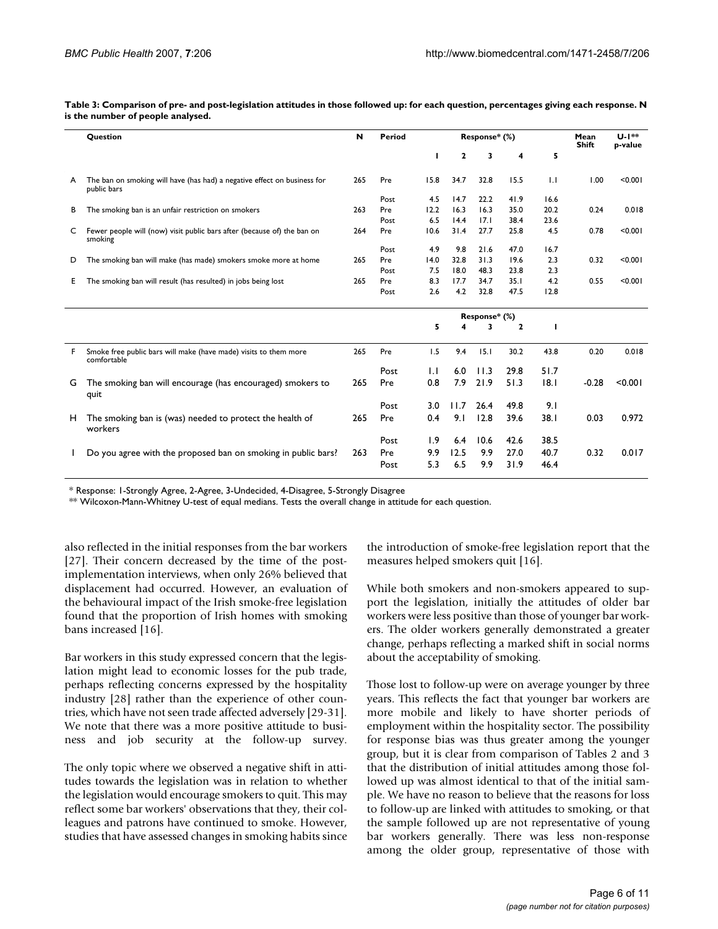|    | Question                                                                                | N   | Period |      | Response* (%) | Mean<br><b>Shift</b> | U-1**<br>p-value |      |      |         |
|----|-----------------------------------------------------------------------------------------|-----|--------|------|---------------|----------------------|------------------|------|------|---------|
|    |                                                                                         |     |        |      | 2             | 3                    | 4                | 5    |      |         |
| A  | The ban on smoking will have (has had) a negative effect on business for<br>public bars | 265 | Pre    | 15.8 | 34.7          | 32.8                 | 15.5             | IJ   | 00.1 | < 0.001 |
|    |                                                                                         |     | Post   | 4.5  | 14.7          | 22.2                 | 41.9             | 16.6 |      |         |
| в  | The smoking ban is an unfair restriction on smokers                                     | 263 | Pre    | 12.2 | 16.3          | 16.3                 | 35.0             | 20.2 | 0.24 | 0.018   |
|    |                                                                                         |     | Post   | 6.5  | 14.4          | 17.1                 | 38.4             | 23.6 |      |         |
| C  | Fewer people will (now) visit public bars after (because of) the ban on<br>smoking      | 264 | Pre    | 10.6 | 31.4          | 27.7                 | 25.8             | 4.5  | 0.78 | < 0.001 |
|    |                                                                                         |     | Post   | 4.9  | 9.8           | 21.6                 | 47.0             | 16.7 |      |         |
| D  | The smoking ban will make (has made) smokers smoke more at home                         | 265 | Pre    | 14.0 | 32.8          | 31.3                 | 19.6             | 2.3  | 0.32 | < 0.001 |
|    |                                                                                         |     | Post   | 7.5  | 18.0          | 48.3                 | 23.8             | 2.3  |      |         |
| E. | The smoking ban will result (has resulted) in jobs being lost                           | 265 | Pre    | 8.3  | 17.7          | 34.7                 | 35.1             | 4.2  | 0.55 | < 0.001 |
|    |                                                                                         |     | Post   | 26   | 42            | 32 B                 | 47.5             | 12.8 |      |         |

**Table 3: Comparison of pre- and post-legislation attitudes in those followed up: for each question, percentages giving each response. N is the number of people analysed.**

|    |                                                                                 |     | Post | 2.6 | 4.2  | 32.8          | 47.5         | 12.8 |         |         |
|----|---------------------------------------------------------------------------------|-----|------|-----|------|---------------|--------------|------|---------|---------|
|    |                                                                                 |     |      |     |      | Response* (%) |              |      |         |         |
|    |                                                                                 |     |      | 5   | 4    | 3             | $\mathbf{2}$ |      |         |         |
| F. | Smoke free public bars will make (have made) visits to them more<br>comfortable | 265 | Pre  | 1.5 | 9.4  | 15.1          | 30.2         | 43.8 | 0.20    | 0.018   |
|    |                                                                                 |     | Post | IJ  | 6.0  | 11.3          | 29.8         | 51.7 |         |         |
| G  | The smoking ban will encourage (has encouraged) smokers to<br>quit              | 265 | Pre  | 0.8 | 7.9  | 21.9          | 51.3         | 8.1  | $-0.28$ | < 0.001 |
|    |                                                                                 |     | Post | 3.0 | 11.7 | 26.4          | 49.8         | 9.1  |         |         |
| н. | The smoking ban is (was) needed to protect the health of<br>workers             | 265 | Pre  | 0.4 | 9.I  | 12.8          | 39.6         | 38.1 | 0.03    | 0.972   |
|    |                                                                                 |     | Post | I.9 | 6.4  | 10.6          | 42.6         | 38.5 |         |         |
|    | Do you agree with the proposed ban on smoking in public bars?                   | 263 | Pre  | 9.9 | 12.5 | 9.9           | 27.0         | 40.7 | 0.32    | 0.017   |
|    |                                                                                 |     | Post | 5.3 | 6.5  | 9.9           | 31.9         | 46.4 |         |         |

\* Response: 1-Strongly Agree, 2-Agree, 3-Undecided, 4-Disagree, 5-Strongly Disagree

\*\* Wilcoxon-Mann-Whitney U-test of equal medians. Tests the overall change in attitude for each question.

also reflected in the initial responses from the bar workers [27]. Their concern decreased by the time of the postimplementation interviews, when only 26% believed that displacement had occurred. However, an evaluation of the behavioural impact of the Irish smoke-free legislation found that the proportion of Irish homes with smoking bans increased [16].

Bar workers in this study expressed concern that the legislation might lead to economic losses for the pub trade, perhaps reflecting concerns expressed by the hospitality industry [28] rather than the experience of other countries, which have not seen trade affected adversely [29-31]. We note that there was a more positive attitude to business and job security at the follow-up survey.

The only topic where we observed a negative shift in attitudes towards the legislation was in relation to whether the legislation would encourage smokers to quit. This may reflect some bar workers' observations that they, their colleagues and patrons have continued to smoke. However, studies that have assessed changes in smoking habits since the introduction of smoke-free legislation report that the measures helped smokers quit [16].

While both smokers and non-smokers appeared to support the legislation, initially the attitudes of older bar workers were less positive than those of younger bar workers. The older workers generally demonstrated a greater change, perhaps reflecting a marked shift in social norms about the acceptability of smoking.

Those lost to follow-up were on average younger by three years. This reflects the fact that younger bar workers are more mobile and likely to have shorter periods of employment within the hospitality sector. The possibility for response bias was thus greater among the younger group, but it is clear from comparison of Tables 2 and 3 that the distribution of initial attitudes among those followed up was almost identical to that of the initial sample. We have no reason to believe that the reasons for loss to follow-up are linked with attitudes to smoking, or that the sample followed up are not representative of young bar workers generally. There was less non-response among the older group, representative of those with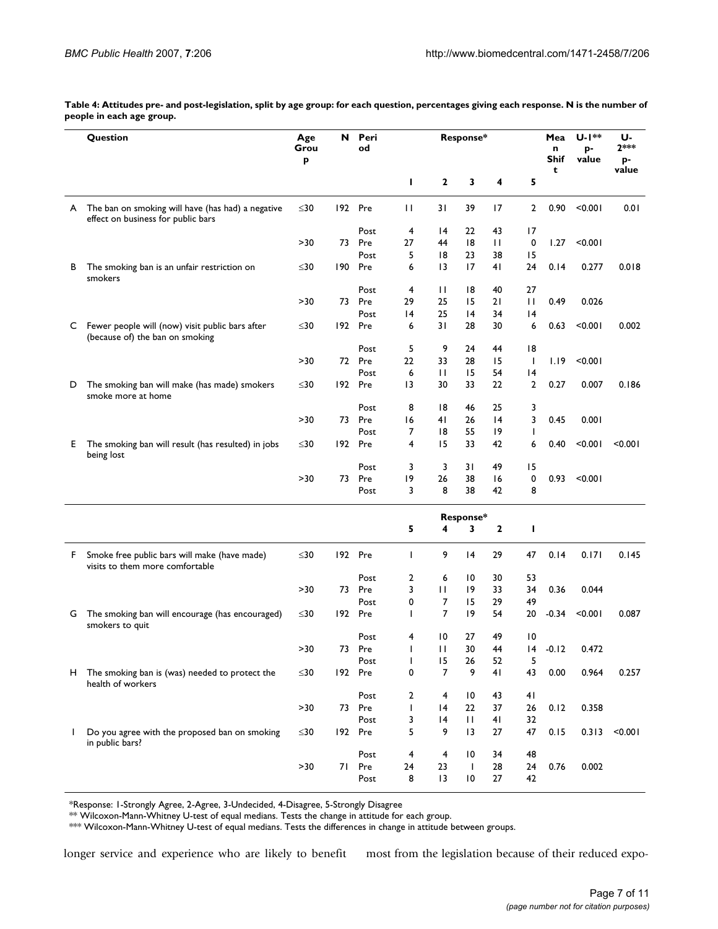**Table 4: Attitudes pre- and post-legislation, split by age group: for each question, percentages giving each response. N is the number of people in each age group.**

|    | Question                                                                                | Age<br>Grou | N   | Peri<br>od |    | Response*       |                 |    | U-1**<br>Mea<br>n<br>p- |           | U-<br>$2***$ |             |
|----|-----------------------------------------------------------------------------------------|-------------|-----|------------|----|-----------------|-----------------|----|-------------------------|-----------|--------------|-------------|
|    |                                                                                         | p           |     |            |    |                 |                 |    |                         | Shif<br>t | value        | p-<br>value |
|    |                                                                                         |             |     |            | I  | $\mathbf 2$     | 3               | 4  | 5                       |           |              |             |
| A  | The ban on smoking will have (has had) a negative<br>effect on business for public bars | ≤30         |     | 192 Pre    | П  | 31              | 39              | 17 | 2                       | 0.90      | < 0.001      | 0.01        |
|    |                                                                                         |             |     | Post       | 4  | 14              | 22              | 43 | 17                      |           |              |             |
|    |                                                                                         | >30         | 73  | Pre        | 27 | 44              | 8               | П  | $\mathbf 0$             | 1.27      | < 0.001      |             |
|    |                                                                                         |             |     | Post       | 5  | 18              | 23              | 38 | 15                      |           |              |             |
| в  | The smoking ban is an unfair restriction on<br>smokers                                  | ≤30         | 190 | Pre        | 6  | $\overline{13}$ | 17              | 41 | 24                      | 0.14      | 0.277        | 0.018       |
|    |                                                                                         |             |     | Post       | 4  | П               | 18              | 40 | 27                      |           |              |             |
|    |                                                                                         | >30         | 73  | Pre        | 29 | 25              | 15              | 21 | $\mathbf{H}$            | 0.49      | 0.026        |             |
|    |                                                                                         |             |     | Post       | 14 | 25              | 4               | 34 | 4                       |           |              |             |
| C. | Fewer people will (now) visit public bars after<br>(because of) the ban on smoking      | ≤30         |     | 192 Pre    | 6  | 31              | 28              | 30 | 6                       | 0.63      | < 0.001      | 0.002       |
|    |                                                                                         |             |     | Post       | 5  | 9               | 24              | 44 | 18                      |           |              |             |
|    |                                                                                         | >30         |     | 72 Pre     | 22 | 33              | 28              | 15 | $\mathbf{I}$            | 1.19      | < 0.001      |             |
|    |                                                                                         |             |     | Post       | 6  | П               | 15              | 54 | 4                       |           |              |             |
| D  | The smoking ban will make (has made) smokers<br>smoke more at home                      | ≤30         |     | 192 Pre    | 13 | 30              | 33              | 22 | $\overline{2}$          | 0.27      | 0.007        | 0.186       |
|    |                                                                                         |             |     | Post       | 8  | 18              | 46              | 25 | 3                       |           |              |             |
|    |                                                                                         | >30         |     | 73 Pre     | 16 | 41              | 26              | 4  | 3                       | 0.45      | 0.001        |             |
|    |                                                                                         |             |     | Post       | 7  | 18              | 55              | 19 | L                       |           |              |             |
| Е. | The smoking ban will result (has resulted) in jobs<br>being lost                        | ≤30         |     | 192 Pre    | 4  | 15              | 33              | 42 | 6                       | 0.40      | < 0.001      | < 0.001     |
|    |                                                                                         |             |     | Post       | 3  | 3               | 31              | 49 | 15                      |           |              |             |
|    |                                                                                         | >30         | 73  | Pre        | 19 | 26              | 38              | 16 | 0                       | 0.93      | < 0.001      |             |
|    |                                                                                         |             |     | Post       | 3  | 8               | 38              | 42 | 8                       |           |              |             |
|    |                                                                                         |             |     |            |    |                 | Response*       |    |                         |           |              |             |
|    |                                                                                         |             |     |            | 5  | 4               | 3               | 2  | п                       |           |              |             |
| F. | Smoke free public bars will make (have made)<br>visits to them more comfortable         | ≤30         |     | 192 Pre    | T  | 9               | 14              | 29 | 47                      | 0.14      | 0.171        | 0.145       |
|    |                                                                                         |             |     | Post       | 2  | 6               | 10              | 30 | 53                      |           |              |             |
|    |                                                                                         | >30         | 73  | Pre        | 3  | $\mathbf{H}$    | 9               | 33 | 34                      | 0.36      | 0.044        |             |
|    |                                                                                         |             |     | Post       | 0  | 7               | 15              | 29 | 49                      |           |              |             |
| G  | The smoking ban will encourage (has encouraged)<br>smokers to quit                      | ≤30         |     | 192 Pre    | T  | 7               | 19              | 54 | 20                      | $-0.34$   | < 0.001      | 0.087       |
|    |                                                                                         |             |     | Post       | 4  | 10              | 27              | 49 | 10                      |           |              |             |
|    |                                                                                         | >30         | 73  | Pre        | ı  | П               | 30              | 44 | 4                       | $-0.12$   | 0.472        |             |
|    |                                                                                         |             |     | Post       | I. | 15              | 26              | 52 | 5                       |           |              |             |
| H. | The smoking ban is (was) needed to protect the<br>health of workers                     | ≤30         |     | 192 Pre    | 0  | $\overline{7}$  | 9               | 41 | 43                      | 0.00      | 0.964        | 0.257       |
|    |                                                                                         |             |     | Post       | 2  | 4               | 10              | 43 | 41                      |           |              |             |
|    |                                                                                         | >30         | 73  | Pre        | I  | 4               | 22              | 37 | 26                      | 0.12      | 0.358        |             |
|    |                                                                                         |             |     | Post       | 3  | 4               | $\mathbf{H}$    | 41 | 32                      |           |              |             |
| L  | Do you agree with the proposed ban on smoking<br>in public bars?                        | $\leq$ 30   |     | 192 Pre    | 5  | 9               | 13              | 27 | 47                      | 0.15      | 0.313        | < 0.001     |
|    |                                                                                         |             |     | Post       | 4  | 4               | 10              | 34 | 48                      |           |              |             |
|    |                                                                                         | >30         | 71  | Pre        | 24 | 23              | $\mathbf{I}$    | 28 | 24                      | 0.76      | 0.002        |             |
|    |                                                                                         |             |     | Post       | 8  | 13              | $\overline{10}$ | 27 | 42                      |           |              |             |

\*Response: 1-Strongly Agree, 2-Agree, 3-Undecided, 4-Disagree, 5-Strongly Disagree

 $^{*\!\times}$  Wilcoxon-Mann-Whitney U-test of equal medians. Tests the change in attitude for each group.

\*\*\* Wilcoxon-Mann-Whitney U-test of equal medians. Tests the differences in change in attitude between groups.

longer service and experience who are likely to benefit most from the legislation because of their reduced expo-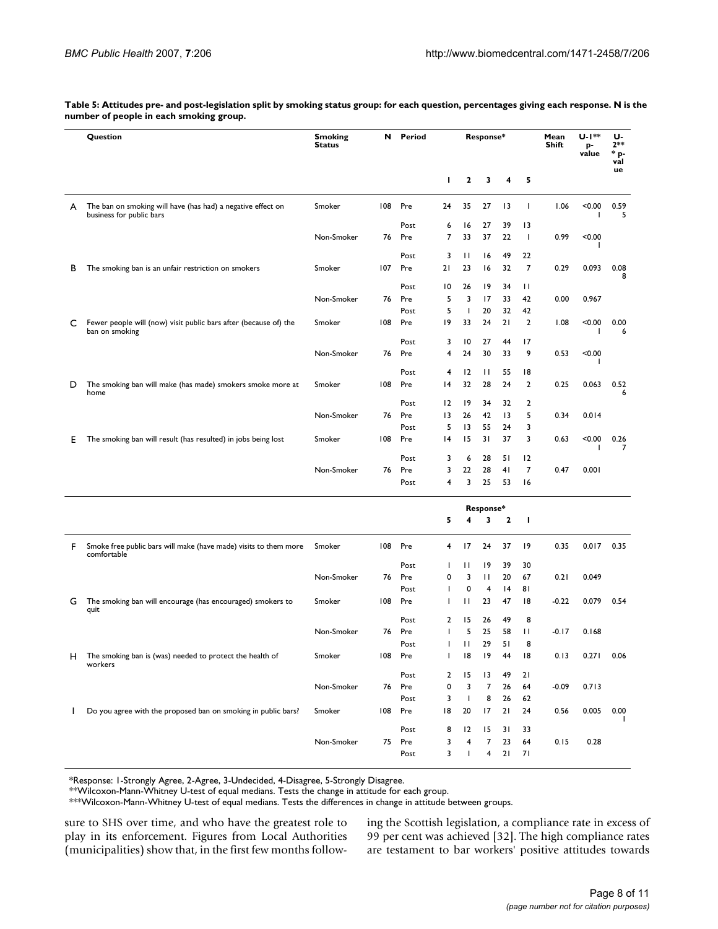|    | Question                                                                                | <b>Smoking</b><br>N<br><b>Status</b> | Period |        |        | Response*    |                |                 | Mean<br>Shift  | U-1**<br>p-<br>value | U-<br>$2**$<br>* p-<br>val |           |
|----|-----------------------------------------------------------------------------------------|--------------------------------------|--------|--------|--------|--------------|----------------|-----------------|----------------|----------------------|----------------------------|-----------|
|    |                                                                                         |                                      |        |        | I.     | 2            | 3              | 4               | 5              |                      |                            | ue        |
| A  | The ban on smoking will have (has had) a negative effect on<br>business for public bars | Smoker                               | 108    | Pre    | 24     | 35           | 27             | 13              | T              | 1.06                 | < 0.00                     | 0.59<br>5 |
|    |                                                                                         |                                      |        | Post   | 6      | 16           | 27             | 39              | 13             |                      |                            |           |
|    |                                                                                         | Non-Smoker                           | 76     | Pre    | 7      | 33           | 37             | 22              | T              | 0.99                 | < 0.00                     |           |
|    |                                                                                         |                                      |        | Post   | 3      | $\mathbf{H}$ | 16             | 49              | 22             |                      |                            |           |
| в  | The smoking ban is an unfair restriction on smokers                                     | Smoker                               | 107    | Pre    | 21     | 23           | 16             | 32              | 7              | 0.29                 | 0.093                      | 0.08<br>8 |
|    |                                                                                         |                                      |        | Post   | 10     | 26           | 19             | 34              | Ħ              |                      |                            |           |
|    |                                                                                         | Non-Smoker                           | 76     | Pre    | 5      | 3            | 17             | 33              | 42             | 0.00                 | 0.967                      |           |
|    |                                                                                         |                                      |        | Post   | 5      | T            | 20             | 32              | 42             |                      |                            |           |
| C  | Fewer people will (now) visit public bars after (because of) the<br>ban on smoking      | Smoker                               | 108    | Pre    | 19     | 33           | 24             | 21              | $\overline{2}$ | 1.08                 | < 0.00                     | 0.00<br>6 |
|    |                                                                                         |                                      |        | Post   | 3      | 10           | 27             | 44              | 17             |                      |                            |           |
|    |                                                                                         | Non-Smoker                           | 76     | Pre    | 4      | 24           | 30             | 33              | 9              | 0.53                 | < 0.00<br>ı                |           |
|    |                                                                                         |                                      |        | Post   | 4      | 12           | $\mathbf{H}$   | 55              | 18             |                      |                            |           |
| D  | The smoking ban will make (has made) smokers smoke more at<br>home                      | Smoker                               | 108    | Pre    | 4      | 32           | 28             | 24              | $\overline{2}$ | 0.25                 | 0.063                      | 0.52<br>6 |
|    |                                                                                         |                                      |        | Post   | 12     | 19           | 34             | 32              | 2              |                      |                            |           |
|    |                                                                                         | Non-Smoker                           | 76     | Pre    | 13     | 26           | 42             | $\overline{13}$ | 5              | 0.34                 | 0.014                      |           |
|    |                                                                                         |                                      |        | Post   | 5      | 13           | 55             | 24              | 3              |                      |                            |           |
| E. | The smoking ban will result (has resulted) in jobs being lost                           | Smoker                               | 108    | Pre    | 14     | 15           | 31             | 37              | 3              | 0.63                 | < 0.00                     | 0.26<br>7 |
|    |                                                                                         |                                      |        | Post   | 3      | 6            | 28             | 51              | 12             |                      |                            |           |
|    |                                                                                         | Non-Smoker                           | 76     | Pre    | 3      | 22           | 28             | 41              | 7              | 0.47                 | 0.001                      |           |
|    |                                                                                         |                                      |        | Post   | 4      | 3            | 25             | 53              | 16             |                      |                            |           |
|    |                                                                                         |                                      |        |        |        |              | Response*      |                 |                |                      |                            |           |
|    |                                                                                         |                                      |        |        | 5      | 4            | 3              | $\mathbf{2}$    | I.             |                      |                            |           |
| F. | Smoke free public bars will make (have made) visits to them more<br>comfortable         | Smoker                               | 108    | Pre    | 4      | 17           | 24             | 37              | 19             | 0.35                 | 0.017                      | 0.35      |
|    |                                                                                         |                                      |        | Post   | T      | П            | 19             | 39              | 30             |                      |                            |           |
|    |                                                                                         | Non-Smoker                           | 76     | Pre    | 0      | 3            | П              | 20              | 67             | 0.21                 | 0.049                      |           |
|    |                                                                                         |                                      |        | Post   | L      | 0            | 4              | 4               | 81             |                      |                            |           |
| G  | The smoking ban will encourage (has encouraged) smokers to<br>quit                      | Smoker                               | 108    | Pre    | ı      | П            | 23             | 47              | 18             | $-0.22$              | 0.079                      | 0.54      |
|    |                                                                                         |                                      |        | Post   | 2      | 15           | 26             | 49              | 8              |                      |                            |           |
|    |                                                                                         | Non-Smoker                           | 76     | Pre    | ı      | 5            | 25             | 58              | Ħ              | $-0.17$              | 0.168                      |           |
|    |                                                                                         |                                      |        | Post   | т      | П            | 29             | 51              | 8              |                      |                            |           |
| н  | The smoking ban is (was) needed to protect the health of<br>workers                     | Smoker                               | 108    | Pre    | T      | 18           | 19             | 44              | 18             | 0.13                 | 0.271                      | 0.06      |
|    |                                                                                         |                                      |        | Post   | 2      | 15           | 13             | 49              | 21             |                      |                            |           |
|    |                                                                                         | Non-Smoker                           |        | 76 Pre | 0      | 3            | $\overline{7}$ | 26              | 64             | $-0.09$              | 0.713                      |           |
|    |                                                                                         |                                      |        | Post   | 3      | J.           | 8              | 26              | 62             |                      |                            | 0.00      |
|    | Do you agree with the proposed ban on smoking in public bars?                           | Smoker                               | 108    | Pre    | 18     | 20           | 17             | 21              | 24             | 0.56                 | 0.005                      |           |
|    |                                                                                         | Non-Smoker                           |        | Post   | 8      | 12           | 15<br>7        | 31              | 33             |                      |                            |           |
|    |                                                                                         |                                      | 75     | Pre    | 3<br>3 | 4            |                | 23              | 64             | 0.15                 | 0.28                       |           |
|    |                                                                                         |                                      |        | Post   |        | T            | 4              | 21              | 71             |                      |                            |           |

**Table 5: Attitudes pre- and post-legislation split by smoking status group: for each question, percentages giving each response. N is the number of people in each smoking group.**

\*Response: 1-Strongly Agree, 2-Agree, 3-Undecided, 4-Disagree, 5-Strongly Disagree.

\*\*Wilcoxon-Mann-Whitney U-test of equal medians. Tests the change in attitude for each group.

\*\*\*Wilcoxon-Mann-Whitney U-test of equal medians. Tests the differences in change in attitude between groups.

sure to SHS over time, and who have the greatest role to play in its enforcement. Figures from Local Authorities (municipalities) show that, in the first few months following the Scottish legislation, a compliance rate in excess of 99 per cent was achieved [32]. The high compliance rates are testament to bar workers' positive attitudes towards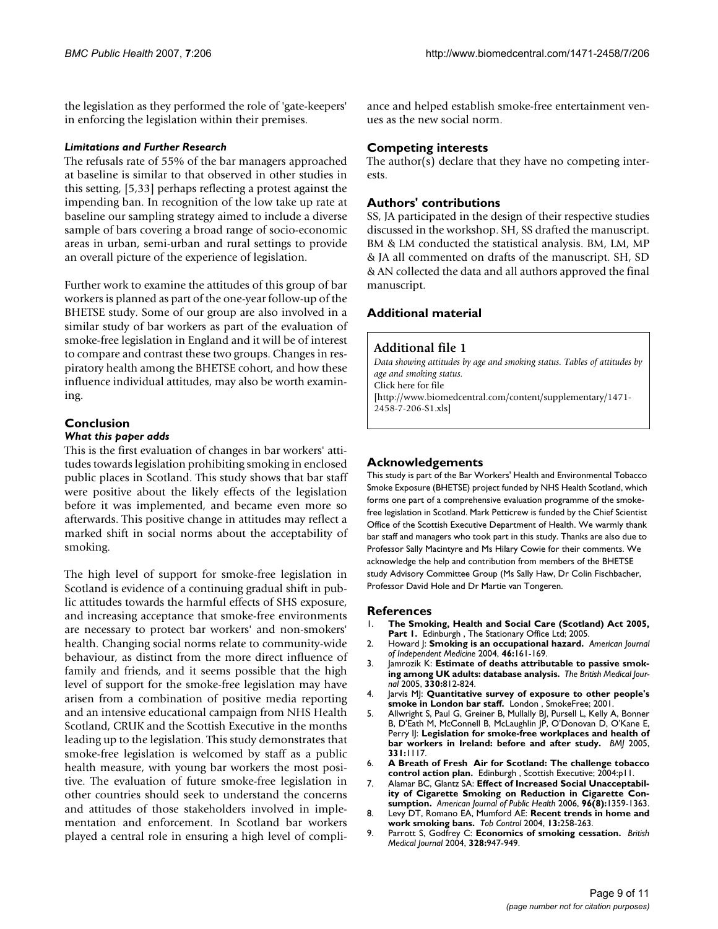the legislation as they performed the role of 'gate-keepers' in enforcing the legislation within their premises.

#### *Limitations and Further Research*

The refusals rate of 55% of the bar managers approached at baseline is similar to that observed in other studies in this setting, [5,33] perhaps reflecting a protest against the impending ban. In recognition of the low take up rate at baseline our sampling strategy aimed to include a diverse sample of bars covering a broad range of socio-economic areas in urban, semi-urban and rural settings to provide an overall picture of the experience of legislation.

Further work to examine the attitudes of this group of bar workers is planned as part of the one-year follow-up of the BHETSE study. Some of our group are also involved in a similar study of bar workers as part of the evaluation of smoke-free legislation in England and it will be of interest to compare and contrast these two groups. Changes in respiratory health among the BHETSE cohort, and how these influence individual attitudes, may also be worth examining.

#### **Conclusion** *What this paper adds*

This is the first evaluation of changes in bar workers' attitudes towards legislation prohibiting smoking in enclosed public places in Scotland. This study shows that bar staff were positive about the likely effects of the legislation before it was implemented, and became even more so afterwards. This positive change in attitudes may reflect a marked shift in social norms about the acceptability of smoking.

The high level of support for smoke-free legislation in Scotland is evidence of a continuing gradual shift in public attitudes towards the harmful effects of SHS exposure, and increasing acceptance that smoke-free environments are necessary to protect bar workers' and non-smokers' health. Changing social norms relate to community-wide behaviour, as distinct from the more direct influence of family and friends, and it seems possible that the high level of support for the smoke-free legislation may have arisen from a combination of positive media reporting and an intensive educational campaign from NHS Health Scotland, CRUK and the Scottish Executive in the months leading up to the legislation. This study demonstrates that smoke-free legislation is welcomed by staff as a public health measure, with young bar workers the most positive. The evaluation of future smoke-free legislation in other countries should seek to understand the concerns and attitudes of those stakeholders involved in implementation and enforcement. In Scotland bar workers played a central role in ensuring a high level of compliance and helped establish smoke-free entertainment venues as the new social norm.

# **Competing interests**

The author(s) declare that they have no competing interests.

### **Authors' contributions**

SS, JA participated in the design of their respective studies discussed in the workshop. SH, SS drafted the manuscript. BM & LM conducted the statistical analysis. BM, LM, MP & JA all commented on drafts of the manuscript. SH, SD & AN collected the data and all authors approved the final manuscript.

# **Additional material**

#### **Additional file 1**

*Data showing attitudes by age and smoking status. Tables of attitudes by age and smoking status.* Click here for file [\[http://www.biomedcentral.com/content/supplementary/1471-](http://www.biomedcentral.com/content/supplementary/1471-2458-7-206-S1.xls) 2458-7-206-S1.xls]

#### **Acknowledgements**

This study is part of the Bar Workers' Health and Environmental Tobacco Smoke Exposure (BHETSE) project funded by NHS Health Scotland, which forms one part of a comprehensive evaluation programme of the smokefree legislation in Scotland. Mark Petticrew is funded by the Chief Scientist Office of the Scottish Executive Department of Health. We warmly thank bar staff and managers who took part in this study. Thanks are also due to Professor Sally Macintyre and Ms Hilary Cowie for their comments. We acknowledge the help and contribution from members of the BHETSE study Advisory Committee Group (Ms Sally Haw, Dr Colin Fischbacher, Professor David Hole and Dr Martie van Tongeren.

#### **References**

- 1. **The Smoking, Health and Social Care (Scotland) Act 2005,** Part I. Edinburgh, The Stationary Office Ltd; 2005.
- 2. Howard |: **Smoking is an occupational hazard.** American Journal *of Independent Medicine* 2004, **46:**161-169.
- 3. Jamrozik K: **Estimate of deaths attributable to passive smoking among UK adults: database analysis.** *The British Medical Journal* 2005, **330:**812-824.
- 4. Jarvis MJ: **Quantitative survey of exposure to other people's smoke in London bar staff.** London , SmokeFree; 2001.
- 5. Allwright S, Paul G, Greiner B, Mullally BJ, Pursell L, Kelly A, Bonner B, D'Eath M, McConnell B, McLaughlin JP, O'Donovan D, O'Kane E, Perry IJ: **[Legislation for smoke-free workplaces and health of](http://www.ncbi.nlm.nih.gov/entrez/query.fcgi?cmd=Retrieve&db=PubMed&dopt=Abstract&list_uids=16230313) [bar workers in Ireland: before and after study.](http://www.ncbi.nlm.nih.gov/entrez/query.fcgi?cmd=Retrieve&db=PubMed&dopt=Abstract&list_uids=16230313)** *BMJ* 2005, **331:**1117.
- 6. **A Breath of Fresh Air for Scotland: The challenge tobacco control action plan.** Edinburgh , Scottish Executive; 2004:p11.
- 7. Alamar BC, Glantz SA: **[Effect of Increased Social Unacceptabil](http://www.ncbi.nlm.nih.gov/entrez/query.fcgi?cmd=Retrieve&db=PubMed&dopt=Abstract&list_uids=16809588)[ity of Cigarette Smoking on Reduction in Cigarette Con](http://www.ncbi.nlm.nih.gov/entrez/query.fcgi?cmd=Retrieve&db=PubMed&dopt=Abstract&list_uids=16809588)[sumption.](http://www.ncbi.nlm.nih.gov/entrez/query.fcgi?cmd=Retrieve&db=PubMed&dopt=Abstract&list_uids=16809588)** *American Journal of Public Health* 2006, **96(8):**1359-1363.
- 8. Levy DT, Romano EA, Mumford AE: **[Recent trends in home and](http://www.ncbi.nlm.nih.gov/entrez/query.fcgi?cmd=Retrieve&db=PubMed&dopt=Abstract&list_uids=15333881) [work smoking bans.](http://www.ncbi.nlm.nih.gov/entrez/query.fcgi?cmd=Retrieve&db=PubMed&dopt=Abstract&list_uids=15333881)** *Tob Control* 2004, **13:**258-263.
- 9. Parrott S, Godfrey C: **[Economics of smoking cessation.](http://www.ncbi.nlm.nih.gov/entrez/query.fcgi?cmd=Retrieve&db=PubMed&dopt=Abstract&list_uids=15087348)** *British Medical Journal* 2004, **328:**947-949.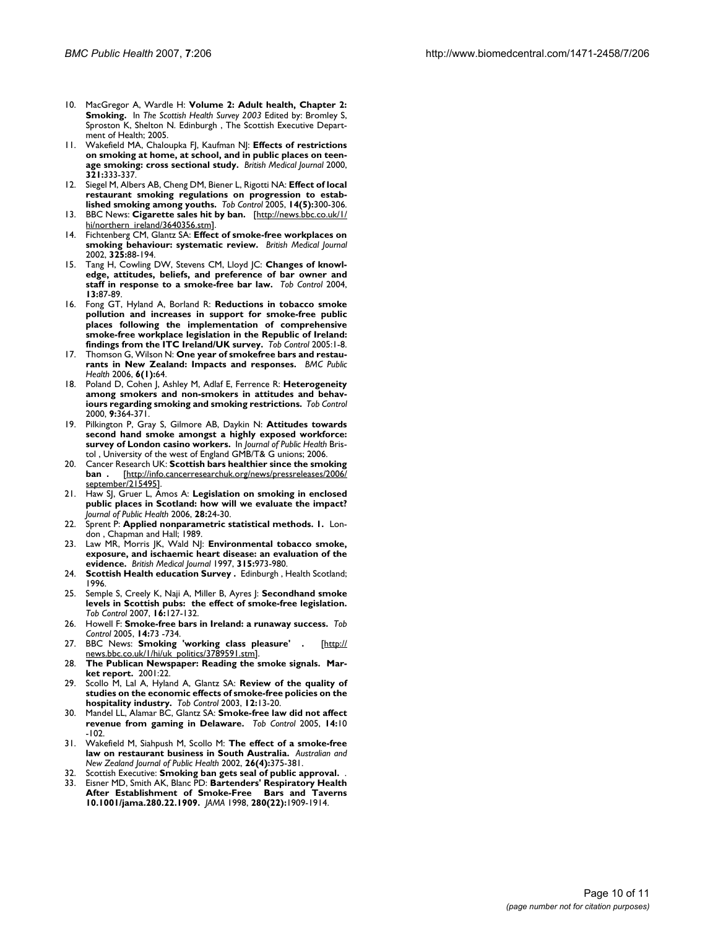- 10. MacGregor A, Wardle H: **Volume 2: Adult health, Chapter 2: Smoking.** In *The Scottish Health Survey 2003* Edited by: Bromley S, Sproston K, Shelton N. Edinburgh , The Scottish Executive Department of Health; 2005.
- 11. Wakefield MA, Chaloupka FJ, Kaufman NJ: **[Effects of restrictions](http://www.ncbi.nlm.nih.gov/entrez/query.fcgi?cmd=Retrieve&db=PubMed&dopt=Abstract&list_uids=10926588) [on smoking at home, at school, and in public places on teen](http://www.ncbi.nlm.nih.gov/entrez/query.fcgi?cmd=Retrieve&db=PubMed&dopt=Abstract&list_uids=10926588)[age smoking: cross sectional study.](http://www.ncbi.nlm.nih.gov/entrez/query.fcgi?cmd=Retrieve&db=PubMed&dopt=Abstract&list_uids=10926588)** *British Medical Journal* 2000, **321:**333-337.
- 12. Siegel M, Albers AB, Cheng DM, Biener L, Rigotti NA: **[Effect of local](http://www.ncbi.nlm.nih.gov/entrez/query.fcgi?cmd=Retrieve&db=PubMed&dopt=Abstract&list_uids=16183980) [restaurant smoking regulations on progression to estab](http://www.ncbi.nlm.nih.gov/entrez/query.fcgi?cmd=Retrieve&db=PubMed&dopt=Abstract&list_uids=16183980)[lished smoking among youths.](http://www.ncbi.nlm.nih.gov/entrez/query.fcgi?cmd=Retrieve&db=PubMed&dopt=Abstract&list_uids=16183980)** *Tob Control* 2005, **14(5):**300-306.
- 13. BBC News: **Cigarette sales hit by ban.** [[http://news.bbc.co.uk/1/](http://news.bbc.co.uk/1/hi/northern_ireland/3640356.stm) [hi/northern\\_ireland/3640356.stm](http://news.bbc.co.uk/1/hi/northern_ireland/3640356.stm)].
- 14. Fichtenberg CM, Glantz SA: **Effect of smoke-free workplaces on smoking behaviour: systematic review.** *British Medical Journal* 2002, **325:**88-194.
- 15. Tang H, Cowling DW, Stevens CM, Lloyd JC: **[Changes of knowl](http://www.ncbi.nlm.nih.gov/entrez/query.fcgi?cmd=Retrieve&db=PubMed&dopt=Abstract&list_uids=14985604)[edge, attitudes, beliefs, and preference of bar owner and](http://www.ncbi.nlm.nih.gov/entrez/query.fcgi?cmd=Retrieve&db=PubMed&dopt=Abstract&list_uids=14985604) [staff in response to a smoke-free bar law.](http://www.ncbi.nlm.nih.gov/entrez/query.fcgi?cmd=Retrieve&db=PubMed&dopt=Abstract&list_uids=14985604)** *Tob Control* 2004, **13:**87-89.
- 16. Fong GT, Hyland A, Borland R: **[Reductions in tobacco smoke](http://www.ncbi.nlm.nih.gov/entrez/query.fcgi?cmd=Retrieve&db=PubMed&dopt=Abstract&list_uids=15735287) [pollution and increases in support for smoke-free public](http://www.ncbi.nlm.nih.gov/entrez/query.fcgi?cmd=Retrieve&db=PubMed&dopt=Abstract&list_uids=15735287) places following the implementation of comprehensive smoke-free workplace legislation in the Republic of Ireland: [findings from the ITC Ireland/UK survey.](http://www.ncbi.nlm.nih.gov/entrez/query.fcgi?cmd=Retrieve&db=PubMed&dopt=Abstract&list_uids=15735287)** *Tob Control* 2005:1-8.
- 17. Thomson G, Wilson N: **[One year of smokefree bars and restau](http://www.ncbi.nlm.nih.gov/entrez/query.fcgi?cmd=Retrieve&db=PubMed&dopt=Abstract&list_uids=16533408)[rants in New Zealand: Impacts and responses.](http://www.ncbi.nlm.nih.gov/entrez/query.fcgi?cmd=Retrieve&db=PubMed&dopt=Abstract&list_uids=16533408)** *BMC Public Health* 2006, **6(1):**64.
- 18. Poland D, Cohen J, Ashley M, Adlaf E, Ferrence R: **[Heterogeneity](http://www.ncbi.nlm.nih.gov/entrez/query.fcgi?cmd=Retrieve&db=PubMed&dopt=Abstract&list_uids=11106705) [among smokers and non-smokers in attitudes and behav](http://www.ncbi.nlm.nih.gov/entrez/query.fcgi?cmd=Retrieve&db=PubMed&dopt=Abstract&list_uids=11106705)[iours regarding smoking and smoking restrictions.](http://www.ncbi.nlm.nih.gov/entrez/query.fcgi?cmd=Retrieve&db=PubMed&dopt=Abstract&list_uids=11106705)** *Tob Control* 2000, **9:**364-371.
- 19. Pilkington P, Gray S, Gilmore AB, Daykin N: **[Attitudes towards](http://www.ncbi.nlm.nih.gov/entrez/query.fcgi?cmd=Retrieve&db=PubMed&dopt=Abstract&list_uids=16497788) [second hand smoke amongst a highly exposed workforce:](http://www.ncbi.nlm.nih.gov/entrez/query.fcgi?cmd=Retrieve&db=PubMed&dopt=Abstract&list_uids=16497788) [survey of London casino workers.](http://www.ncbi.nlm.nih.gov/entrez/query.fcgi?cmd=Retrieve&db=PubMed&dopt=Abstract&list_uids=16497788)** In *Journal of Public Health* Bristol , University of the west of England GMB/T& G unions; 2006.
- 20. Cancer Research UK: **Scottish bars healthier since the smoking ban .** [[http://info.cancerresearchuk.org/news/pressreleases/2006/](http://info.cancerresearchuk.org/news/pressreleases/2006/september/215495) [september/215495\]](http://info.cancerresearchuk.org/news/pressreleases/2006/september/215495).
- 21. Haw SJ, Gruer L, Amos A: **[Legislation on smoking in enclosed](http://www.ncbi.nlm.nih.gov/entrez/query.fcgi?cmd=Retrieve&db=PubMed&dopt=Abstract&list_uids=16488910) [public places in Scotland: how will we evaluate the impact?](http://www.ncbi.nlm.nih.gov/entrez/query.fcgi?cmd=Retrieve&db=PubMed&dopt=Abstract&list_uids=16488910)** *Journal of Public Health* 2006, **28:**24-30.
- 22. Sprent P: **Applied nonparametric statistical methods. 1.** London , Chapman and Hall; 1989.
- 23. Law MR, Morris JK, Wald N|: **[Environmental tobacco smoke,](http://www.ncbi.nlm.nih.gov/entrez/query.fcgi?cmd=Retrieve&db=PubMed&dopt=Abstract&list_uids=9365294) [exposure, and ischaemic heart disease: an evaluation of the](http://www.ncbi.nlm.nih.gov/entrez/query.fcgi?cmd=Retrieve&db=PubMed&dopt=Abstract&list_uids=9365294) [evidence.](http://www.ncbi.nlm.nih.gov/entrez/query.fcgi?cmd=Retrieve&db=PubMed&dopt=Abstract&list_uids=9365294)** *British Medical Journal* 1997, **315:**973-980.
- 24. **Scottish Health education Survey .** Edinburgh , Health Scotland; 1996.
- 25. Semple S, Creely K, Naji A, Miller B, Ayres J: **[Secondhand smoke](http://www.ncbi.nlm.nih.gov/entrez/query.fcgi?cmd=Retrieve&db=PubMed&dopt=Abstract&list_uids=17400951) [levels in Scottish pubs: the effect of smoke-free legislation.](http://www.ncbi.nlm.nih.gov/entrez/query.fcgi?cmd=Retrieve&db=PubMed&dopt=Abstract&list_uids=17400951)** *Tob Control* 2007, **16:**127-132.
- 26. Howell F: **[Smoke-free bars in Ireland: a runaway success.](http://www.ncbi.nlm.nih.gov/entrez/query.fcgi?cmd=Retrieve&db=PubMed&dopt=Abstract&list_uids=15791009)** *Tob Control* 2005, **14:**73 -734.
- 27. BBC News: **Smoking 'working class pleasure' .** [[http://](http://news.bbc.co.uk/1/hi/uk_politics/3789591.stm) [news.bbc.co.uk/1/hi/uk\\_politics/3789591.stm](http://news.bbc.co.uk/1/hi/uk_politics/3789591.stm)].
- 28. **The Publican Newspaper: Reading the smoke signals. Market report.** 2001:22.
- 29. Scollo M, Lal A, Hyland A, Glantz SA: **[Review of the quality of](http://www.ncbi.nlm.nih.gov/entrez/query.fcgi?cmd=Retrieve&db=PubMed&dopt=Abstract&list_uids=12612356) [studies on the economic effects of smoke-free policies on the](http://www.ncbi.nlm.nih.gov/entrez/query.fcgi?cmd=Retrieve&db=PubMed&dopt=Abstract&list_uids=12612356) [hospitality industry.](http://www.ncbi.nlm.nih.gov/entrez/query.fcgi?cmd=Retrieve&db=PubMed&dopt=Abstract&list_uids=12612356)** *Tob Control* 2003, **12:**13-20.
- 30. Mandel LL, Alamar BC, Glantz SA: **[Smoke-free law did not affect](http://www.ncbi.nlm.nih.gov/entrez/query.fcgi?cmd=Retrieve&db=PubMed&dopt=Abstract&list_uids=15735294) [revenue from gaming in Delaware.](http://www.ncbi.nlm.nih.gov/entrez/query.fcgi?cmd=Retrieve&db=PubMed&dopt=Abstract&list_uids=15735294)** *Tob Control* 2005, **14:**10 -102.
- 31. Wakefield M, Siahpush M, Scollo M: **The effect of a smoke-free law on restaurant business in South Australia.** *Australian and New Zealand Journal of Public Health* 2002, **26(4):**375-381.
- 32. Scottish Executive: **Smoking ban gets seal of public approval.** .
- 33. Eisner MD, Smith AK, Blanc PD: **[Bartenders' Respiratory Health](http://www.ncbi.nlm.nih.gov/entrez/query.fcgi?cmd=Retrieve&db=PubMed&dopt=Abstract&list_uids=9851475) [After Establishment of Smoke-Free Bars and Taverns](http://www.ncbi.nlm.nih.gov/entrez/query.fcgi?cmd=Retrieve&db=PubMed&dopt=Abstract&list_uids=9851475) [10.1001/jama.280.22.1909.](http://www.ncbi.nlm.nih.gov/entrez/query.fcgi?cmd=Retrieve&db=PubMed&dopt=Abstract&list_uids=9851475)** *JAMA* 1998, **280(22):**1909-1914.